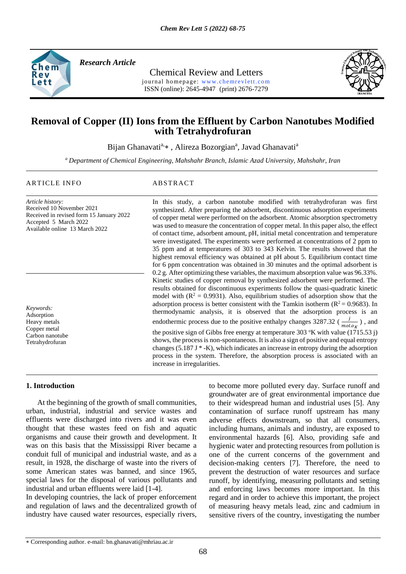

*Research Article* 

Chemical Review and Letters journal homepage: www.chemrevlett.com ISSN (online): 2645-4947 (print) 2676-7279



# **Removal of Copper (II) Ions from the Effluent by Carbon Nanotubes Modified with Tetrahydrofuran**

Bijan Ghanavati<sup>a,</sup>\*, Alireza Bozorgian<sup>a</sup>, Javad Ghanavati<sup>a</sup>

*<sup>a</sup> Department of Chemical Engineering, Mahshahr Branch, Islamic Azad University, Mahshahr, Iran*

#### ARTICLE INFO ABSTRACT

*Article history:* Received 10 November 2021 Received in revised form 15 January 2022 Accepted 5 March 2022 Available online 13 March 2022

*Keywords:* Adsorption Heavy metals Copper metal Carbon nanotube Tetrahydrofuran

## In this study, a carbon nanotube modified with tetrahydrofuran was first synthesized. After preparing the adsorbent, discontinuous adsorption experiments of copper metal were performed on the adsorbent. Atomic absorption spectrometry was used to measure the concentration of copper metal. In this paper also, the effect of contact time, adsorbent amount, pH, initial metal concentration and temperature were investigated. The experiments were performed at concentrations of 2 ppm to 35 ppm and at temperatures of 303 to 343 Kelvin. The results showed that the highest removal efficiency was obtained at pH about 5. Equilibrium contact time for 6 ppm concentration was obtained in 30 minutes and the optimal adsorbent is 0.2 g. After optimizing these variables, the maximum absorption value was 96.33%. Kinetic studies of copper removal by synthesized adsorbent were performed. The results obtained for discontinuous experiments follow the quasi-quadratic kinetic model with  $(R^2 = 0.9931)$ . Also, equilibrium studies of adsorption show that the adsorption process is better consistent with the Tamkin isotherm ( $R^2 = 0.9683$ ). In thermodynamic analysis, it is observed that the adsorption process is an endothermic process due to the positive enthalpy changes 3287.32 ( $\frac{j}{mol \cdot ok}$ ), and the positive sign of Gibbs free energy at temperature 303  $K$  with value (1715.53 j) shows, the process is non-spontaneous. It is also a sign of positive and equal entropy changes  $(5.187 \text{ J} * - \text{K})$ , which indicates an increase in entropy during the adsorption process in the system. Therefore, the absorption process is associated with an increase in irregularities.

#### **1. Introduction**

 At the beginning of the growth of small communities, urban, industrial, industrial and service wastes and effluents were discharged into rivers and it was even thought that these wastes feed on fish and aquatic organisms and cause their growth and development. It was on this basis that the Mississippi River became a conduit full of municipal and industrial waste, and as a result, in 1928, the discharge of waste into the rivers of some American states was banned, and since 1965, special laws for the disposal of various pollutants and industrial and urban effluents were laid [1-4].

In developing countries, the lack of proper enforcement and regulation of laws and the decentralized growth of industry have caused water resources, especially rivers,

to become more polluted every day. Surface runoff and groundwater are of great environmental importance due to their widespread human and industrial uses [5]. Any contamination of surface runoff upstream has many adverse effects downstream, so that all consumers, including humans, animals and industry, are exposed to environmental hazards [6]. Also, providing safe and hygienic water and protecting resources from pollution is one of the current concerns of the government and decision-making centers [7]. Therefore, the need to prevent the destruction of water resources and surface runoff, by identifying, measuring pollutants and setting and enforcing laws becomes more important. In this regard and in order to achieve this important, the project of measuring heavy metals lead, zinc and cadmium in sensitive rivers of the country, investigating the number

Corresponding author. e-mail: bn.ghanavati@mhriau.ac.ir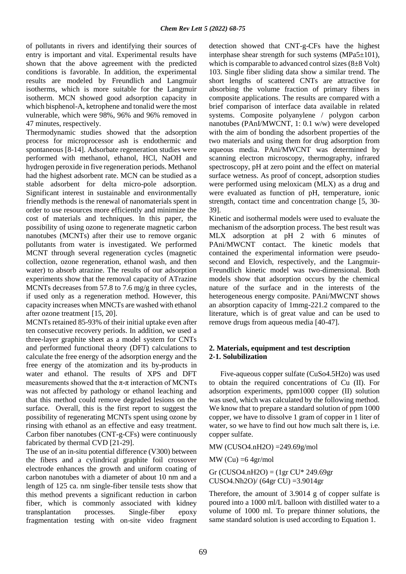of pollutants in rivers and identifying their sources of entry is important and vital. Experimental results have shown that the above agreement with the predicted conditions is favorable. In addition, the experimental results are modeled by Freundlich and Langmuir isotherms, which is more suitable for the Langmuir isotherm. MCN showed good adsorption capacity in which bisphenol-A, ketrophene and tonalid were the most vulnerable, which were 98%, 96% and 96% removed in 47 minutes, respectively.

Thermodynamic studies showed that the adsorption process for microprocessor ash is endothermic and spontaneous [8-14]. Adsorbate regeneration studies were performed with methanol, ethanol, HCl, NaOH and hydrogen peroxide in five regeneration periods. Methanol had the highest adsorbent rate. MCN can be studied as a stable adsorbent for delta micro-pole adsorption. Significant interest in sustainable and environmentally friendly methods is the renewal of nanomaterials spent in order to use resources more efficiently and minimize the cost of materials and techniques. In this paper, the possibility of using ozone to regenerate magnetic carbon nanotubes (MCNTs) after their use to remove organic pollutants from water is investigated. We performed MCNT through several regeneration cycles (magnetic collection, ozone regeneration, ethanol wash, and then water) to absorb atrazine. The results of our adsorption experiments show that the removal capacity of ATrazine MCNTs decreases from 57.8 to 7.6 mg/g in three cycles, if used only as a regeneration method. However, this capacity increases when MNCTs are washed with ethanol after ozone treatment [15, 20].

MCNTs retained 85-93% of their initial uptake even after ten consecutive recovery periods. In addition, we used a three-layer graphite sheet as a model system for CNTs and performed functional theory (DFT) calculations to calculate the free energy of the adsorption energy and the free energy of the atomization and its by-products in water and ethanol. The results of XPS and DFT measurements showed that the  $\pi$ -π interaction of MCNTs was not affected by pathology or ethanol leaching and that this method could remove degraded lesions on the surface. Overall, this is the first report to suggest the possibility of regenerating MCNTs spent using ozone by rinsing with ethanol as an effective and easy treatment. Carbon fiber nanotubes (CNT-g-CFs) were continuously fabricated by thermal CVD [21-29].

The use of an in-situ potential difference (V300) between the fibers and a cylindrical graphite foil crossover electrode enhances the growth and uniform coating of carbon nanotubes with a diameter of about 10 nm and a length of 125 ca. nm single-fiber tensile tests show that this method prevents a significant reduction in carbon fiber, which is commonly associated with kidney transplantation processes. Single-fiber epoxy fragmentation testing with on-site video fragment detection showed that CNT-g-CFs have the highest interphase shear strength for such systems (MPa5±101), which is comparable to advanced control sizes (8±8 Volt) 103. Single fiber sliding data show a similar trend. The short lengths of scattered CNTs are attractive for absorbing the volume fraction of primary fibers in composite applications. The results are compared with a brief comparison of interface data available in related systems. Composite polyanylene / polygon carbon nanotubes (PAnI/MWCNT, 1: 0.1 w/w) were developed with the aim of bonding the adsorbent properties of the two materials and using them for drug adsorption from aqueous media. PAni/MWCNT was determined by scanning electron microscopy, thermography, infrared spectroscopy, pH at zero point and the effect on material surface wetness. As proof of concept, adsorption studies were performed using meloxicam (MLX) as a drug and were evaluated as function of pH, temperature, ionic strength, contact time and concentration change [5, 30- 39].

Kinetic and isothermal models were used to evaluate the mechanism of the adsorption process. The best result was MLX adsorption at pH 2 with 6 minutes of PAni/MWCNT contact. The kinetic models that contained the experimental information were pseudosecond and Elovich, respectively, and the Langmuir-Freundlich kinetic model was two-dimensional. Both models show that adsorption occurs by the chemical nature of the surface and in the interests of the heterogeneous energy composite. PAni/MWCNT shows an absorption capacity of 1mmg-221.2 compared to the literature, which is of great value and can be used to remove drugs from aqueous media [40-47].

## **2. Materials, equipment and test description 2-1. Solubilization**

 Five-aqueous copper sulfate (CuSo4.5H2o) was used to obtain the required concentrations of Cu (II). For adsorption experiments, ppm1000 copper (II) solution was used, which was calculated by the following method. We know that to prepare a standard solution of ppm 1000 copper, we have to dissolve 1 gram of copper in 1 liter of water, so we have to find out how much salt there is, i.e. copper sulfate.

MW (CUSO4.nH2O) =249.69g/mol

 $MW (Cu) = 64gr/mol$ 

 $Gr (CUSO4.nH2O) = (1gr CU* 249.69gr)$ CUSO4.Nh2O)/ (64gr CU) =3.9014gr

Therefore, the amount of 3.9014 g of copper sulfate is poured into a 1000 ml/L balloon with distilled water to a volume of 1000 ml. To prepare thinner solutions, the same standard solution is used according to Equation 1.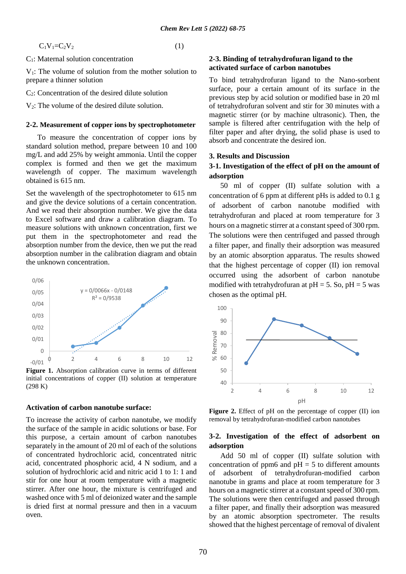$C_1V_1=C_2V_2$  (1)

C1: Maternal solution concentration

 $V_1$ : The volume of solution from the mother solution to prepare a thinner solution

C2: Concentration of the desired dilute solution

 $V_2$ : The volume of the desired dilute solution.

#### **2-2. Measurement of copper ions by spectrophotometer**

 To measure the concentration of copper ions by standard solution method, prepare between 10 and 100 mg/L and add 25% by weight ammonia. Until the copper complex is formed and then we get the maximum wavelength of copper. The maximum wavelength obtained is 615 nm.

Set the wavelength of the spectrophotometer to 615 nm and give the device solutions of a certain concentration. And we read their absorption number. We give the data to Excel software and draw a calibration diagram. To measure solutions with unknown concentration, first we put them in the spectrophotometer and read the absorption number from the device, then we put the read absorption number in the calibration diagram and obtain the unknown concentration.



**Figure 1.** Absorption calibration curve in terms of different initial concentrations of copper (II) solution at temperature (298 K)

#### **Activation of carbon nanotube surface:**

To increase the activity of carbon nanotube, we modify the surface of the sample in acidic solutions or base. For this purpose, a certain amount of carbon nanotubes separately in the amount of 20 ml of each of the solutions of concentrated hydrochloric acid, concentrated nitric acid, concentrated phosphoric acid, 4 N sodium, and a solution of hydrochloric acid and nitric acid 1 to 1: 1 and stir for one hour at room temperature with a magnetic stirrer. After one hour, the mixture is centrifuged and washed once with 5 ml of deionized water and the sample is dried first at normal pressure and then in a vacuum oven.

#### **2-3. Binding of tetrahydrofuran ligand to the activated surface of carbon nanotubes**

To bind tetrahydrofuran ligand to the Nano-sorbent surface, pour a certain amount of its surface in the previous step by acid solution or modified base in 20 ml of tetrahydrofuran solvent and stir for 30 minutes with a magnetic stirrer (or by machine ultrasonic). Then, the sample is filtered after centrifugation with the help of filter paper and after drying, the solid phase is used to absorb and concentrate the desired ion.

#### **3. Results and Discussion**

## **3-1. Investigation of the effect of pH on the amount of adsorption**

 50 ml of copper (II) sulfate solution with a concentration of 6 ppm at different pHs is added to 0.1 g of adsorbent of carbon nanotube modified with tetrahydrofuran and placed at room temperature for 3 hours on a magnetic stirrer at a constant speed of 300 rpm. The solutions were then centrifuged and passed through a filter paper, and finally their adsorption was measured by an atomic absorption apparatus. The results showed that the highest percentage of copper (II) ion removal occurred using the adsorbent of carbon nanotube modified with tetrahydrofuran at  $pH = 5$ . So,  $pH = 5$  was chosen as the optimal pH.



Figure 2. Effect of pH on the percentage of copper (II) ion removal by tetrahydrofuran-modified carbon nanotubes

### **3-2. Investigation of the effect of adsorbent on adsorption**

 Add 50 ml of copper (II) sulfate solution with concentration of ppm6 and  $pH = 5$  to different amounts of adsorbent of tetrahydrofuran-modified carbon nanotube in grams and place at room temperature for 3 hours on a magnetic stirrer at a constant speed of 300 rpm. The solutions were then centrifuged and passed through a filter paper, and finally their adsorption was measured by an atomic absorption spectrometer. The results showed that the highest percentage of removal of divalent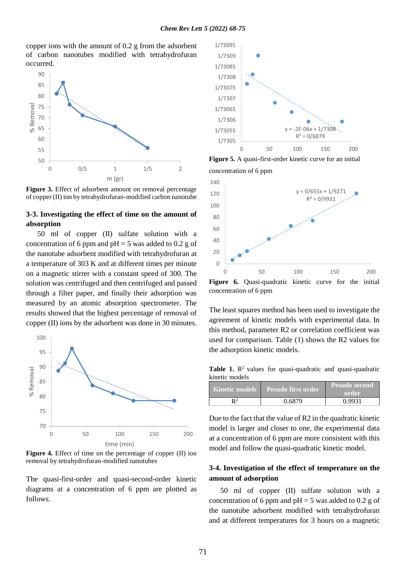copper ions with the amount of 0.2 g from the adsorbent of carbon nanotubes modified with tetrahydrofuran occurred.





## **3-3. Investigating the effect of time on the amount of absorption**

 50 ml of copper (II) sulfate solution with a concentration of 6 ppm and  $pH = 5$  was added to 0.2 g of the nanotube adsorbent modified with tetrahydrofuran at a temperature of 303 K and at different times per minute on a magnetic stirrer with a constant speed of 300. The solution was centrifuged and then centrifuged and passed through a filter paper, and finally their adsorption was measured by an atomic absorption spectrometer. The results showed that the highest percentage of removal of copper (II) ions by the adsorbent was done in 30 minutes.



**Figure 4.** Effect of time on the percentage of copper (II) ion removal by tetrahydrofuran-modified nanotubes

The quasi-first-order and quasi-second-order kinetic diagrams at a concentration of 6 ppm are plotted as follows.



**Figure 5.** A quasi-first-order kinetic curve for an initial concentration of 6 ppm



concentration of 6 ppm

The least squares method has been used to investigate the agreement of kinetic models with experimental data. In this method, parameter R2 or correlation coefficient was used for comparison. Table (1) shows the R2 values for the adsorption kinetic models.

Table 1. R<sup>2</sup> values for quasi-quadratic and quasi-quadratic kinetic models

| <b>Kinetic models</b> | Pesudo first order | Pesudo second<br>order |
|-----------------------|--------------------|------------------------|
| Q2                    | 0.6879             | 0.9931                 |

Due to the fact that the value of R2 in the quadratic kinetic model is larger and closer to one, the experimental data at a concentration of 6 ppm are more consistent with this model and follow the quasi-quadratic kinetic model.

## **3-4. Investigation of the effect of temperature on the amount of adsorption**

 50 ml of copper (II) sulfate solution with a concentration of 6 ppm and  $pH = 5$  was added to 0.2 g of the nanotube adsorbent modified with tetrahydrofuran and at different temperatures for 3 hours on a magnetic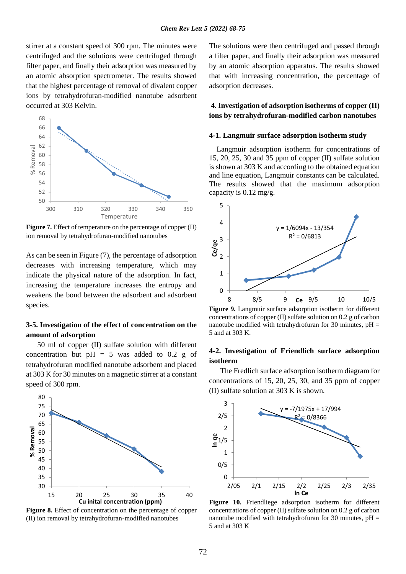stirrer at a constant speed of 300 rpm. The minutes were centrifuged and the solutions were centrifuged through filter paper, and finally their adsorption was measured by an atomic absorption spectrometer. The results showed that the highest percentage of removal of divalent copper ions by tetrahydrofuran-modified nanotube adsorbent occurred at 303 Kelvin.



**Figure 7.** Effect of temperature on the percentage of copper (II) ion removal by tetrahydrofuran-modified nanotubes

As can be seen in Figure (7), the percentage of adsorption decreases with increasing temperature, which may indicate the physical nature of the adsorption. In fact, increasing the temperature increases the entropy and weakens the bond between the adsorbent and adsorbent species.

## **3-5. Investigation of the effect of concentration on the amount of adsorption**

 50 ml of copper (II) sulfate solution with different concentration but  $pH = 5$  was added to 0.2 g of tetrahydrofuran modified nanotube adsorbent and placed at 303 K for 30 minutes on a magnetic stirrer at a constant speed of 300 rpm.



**Figure 8.** Effect of concentration on the percentage of copper (II) ion removal by tetrahydrofuran-modified nanotubes

The solutions were then centrifuged and passed through a filter paper, and finally their adsorption was measured by an atomic absorption apparatus. The results showed that with increasing concentration, the percentage of adsorption decreases.

## **4. Investigation of adsorption isotherms of copper (II) ions by tetrahydrofuran-modified carbon nanotubes**

## **4-1. Langmuir surface adsorption isotherm study**

 Langmuir adsorption isotherm for concentrations of 15, 20, 25, 30 and 35 ppm of copper (II) sulfate solution is shown at 303 K and according to the obtained equation and line equation, Langmuir constants can be calculated. The results showed that the maximum adsorption capacity is 0.12 mg/g.



**Figure 9.** Langmuir surface adsorption isotherm for different concentrations of copper (II) sulfate solution on 0.2 g of carbon nanotube modified with tetrahydrofuran for 30 minutes,  $pH =$ 5 and at 303 K.

### **4-2. Investigation of Friendlich surface adsorption isotherm**

 The Fredlich surface adsorption isotherm diagram for concentrations of 15, 20, 25, 30, and 35 ppm of copper (II) sulfate solution at 303 K is shown.



**Figure 10.** Friendliege adsorption isotherm for different concentrations of copper (II) sulfate solution on 0.2 g of carbon nanotube modified with tetrahydrofuran for 30 minutes,  $pH =$ 5 and at 303 K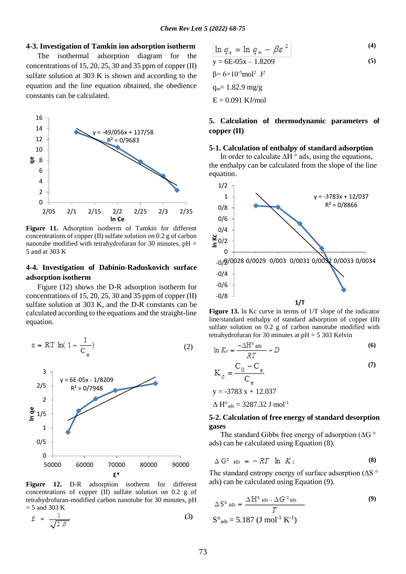#### **4-3. Investigation of Tamkin ion adsorption isotherm**

 The isothermal adsorption diagram for the concentrations of 15, 20, 25, 30 and 35 ppm of copper (II) sulfate solution at 303 K is shown and according to the equation and the line equation obtained, the obedience constants can be calculated.



**Figure 11.** Adsorption isotherm of Tamkin for different concentrations of copper (II) sulfate solution on 0.2 g of carbon nanotube modified with tetrahydrofuran for 30 minutes,  $pH =$ 5 and at 303 K

## **4-4. Investigation of Dabinin-Raduskovich surface adsorption isotherm**

 Figure (12) shows the D-R adsorption isotherm for concentrations of 15, 20, 25, 30 and 35 ppm of copper  $(II)$ sulfate solution at 303 K, and the D-R constants can be calculated according to the equations and the straight-line equation.

$$
\varepsilon = RT \ln(1 + \frac{1}{C_e})
$$
 (2)



**Figure 12.** D-R adsorption isotherm for different concentrations of copper (II) sulfate solution on 0.2 g of tetrahydrofuran-modified carbon nanotube for 30 minutes, pH  $=$  5 and 303 K

$$
E = \frac{1}{\sqrt{2 \beta}}
$$
 (3)

$$
\ln q_e = \ln q_m - \beta \varepsilon^2
$$
  
\n
$$
y = 6E - 0.5x - 1.8209
$$
  
\n
$$
\beta = 6 \times 10^{-5} \text{mol}^2 \text{ J}^2
$$
  
\n
$$
q_m = 1.82.9 \text{ mg/g}
$$

**(4)**

 $E = 0.091$  KJ/mol

## **5. Calculation of thermodynamic parameters of copper (II)**

#### **5-1. Calculation of enthalpy of standard adsorption**

 In order to calculate ∆H ° ads, using the equations, the enthalpy can be calculated from the slope of the line equation.



**Figure 13.** ln Kc curve in terms of 1/T slope of the indicator line/standard enthalpy of standard adsorption of copper (II) sulfate solution on 0.2 g of carbon nanotube modified with tetrahydrofuran for 30 minutes at  $pH = 5303$  Kelvin

$$
\ln K_c = \frac{-\Delta H^{\circ} \text{ ads}}{RT} + D \tag{6}
$$

$$
K_c = \frac{C_0 - C_e}{C_e}
$$
  
y = -3783 x + 12.037 (7)

 $\Delta H^{\circ}$ <sub>ads</sub> = 3287.32 J mol<sup>-1</sup>

### **5-2. Calculation of free energy of standard desorption gases**

 The standard Gibbs free energy of adsorption (∆G ° ads) can be calculated using Equation (8).

$$
\Delta G^{\circ} \text{ ads} = -RT \ln K_c \qquad (8)
$$

The standard entropy energy of surface adsorption (∆S ° ads) can be calculated using Equation (9).

$$
\Delta S^{\circ} \text{ ads} = \frac{\Delta H^{\circ} \text{ ads} \cdot \Delta G^{\circ} \text{ads}}{T}
$$
\n
$$
S^{\circ} \text{ads} = 5.187 \text{ (J mol}^{-1} \text{ K}^{-1})
$$
\n(9)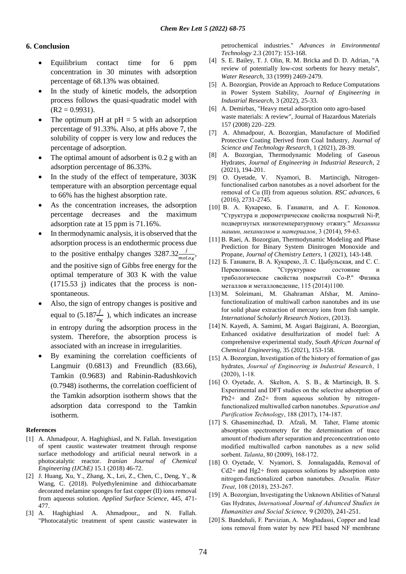## **6. Conclusion**

- Equilibrium contact time for 6 ppm concentration in 30 minutes with adsorption percentage of 68.13% was obtained.
- In the study of kinetic models, the adsorption process follows the quasi-quadratic model with  $(R2 = 0.9931)$ .
- The optimum pH at  $pH = 5$  with an adsorption percentage of 91.33%. Also, at pHs above 7, the solubility of copper is very low and reduces the percentage of adsorption.
- The optimal amount of adsorbent is 0.2 g with an adsorption percentage of 86.33%.
- In the study of the effect of temperature, 303K temperature with an absorption percentage equal to 66% has the highest absorption rate.
- As the concentration increases, the adsorption percentage decreases and the maximum adsorption rate at 15 ppm is 71.16%.
- In thermodynamic analysis, it is observed that the adsorption process is an endothermic process due to the positive enthalpy changes  $3287.32 \frac{J}{mol \cdot ok}$ , and the positive sign of Gibbs free energy for the optimal temperature of 303 K with the value (1715.53 j) indicates that the process is nonspontaneous.
- Also, the sign of entropy changes is positive and equal to  $(5.187 \frac{j}{\sigma_K})$ , which indicates an increase in entropy during the adsorption process in the system. Therefore, the absorption process is associated with an increase in irregularities.
- By examining the correlation coefficients of Langmuir (0.6813) and Freundlich (83.66), Tamkin (0.9683) and Rabinin-Radushkovich (0.7948) isotherms, the correlation coefficient of the Tamkin adsorption isotherm shows that the adsorption data correspond to the Tamkin isotherm.

#### **References**

- [1] A. Ahmadpour, A. Haghighiasl, and N. Fallah. Investigation of spent caustic wastewater treatment through response surface methodology and artificial neural network in a photocatalytic reactor. *Iranian Journal of Chemical Engineering (IJChE)* 15.1 (2018) 46-72.
- [2] J. Huang, Xu, Y., Zhang, X., Lei, Z., Chen, C., Deng, Y., & Wang, C. (2018). Polyethylenimine and dithiocarbamate decorated melamine sponges for fast copper (II) ions removal from aqueous solution. *Applied Surface Science*, 445, 471- 477.
- [3] A. Haghighiasl A. Ahmadpour,, and N. Fallah. "Photocatalytic treatment of spent caustic wastewater in

petrochemical industries." *Advances in Environmental Technology* 2.3 (2017): 153-168.

- [4] S. E. Bailey, T. J. Olin, R. M. Bricka and D. D. Adrian, "A review of potentially low-cost sorbents for heavy metals", *Water Research*, 33 (1999) 2469-2479.
- [5] A. Bozorgian, Provide an Approach to Reduce Computations in Power System Stability, *Journal of Engineering in Industrial Research*, 3 (2022), 25-33.
- [6] A. Demirbas, "Heavy metal adsorption onto agro-based waste materials: A review", Journal of Hazardous Materials 157 (2008) 220–229.
- [7] A. Ahmadpour, A. Bozorgian, Manufacture of Modified Protective Coating Derived from Coal Industry, *Journal of Science and Technology Research*, 1 (2021), 28-39.
- [8] A. Bozorgian, Thermodynamic Modeling of Gaseous Hydrates, *Journal of Engineering in Industrial Research*, 2 (2021), 194-201.
- [9] O. Oyetade, V. Nyamori, B. Martincigh, Nitrogenfunctionalised carbon nanotubes as a novel adsorbent for the removal of Cu (II) from aqueous solution*. RSC advances*, 6 (2016), 2731-2745.
- [10] B. A. Кукареко, Б. Ганавати, and А. Г. Кононов. "Структура и дюрометрические свойства покрытий Ni-P, подвергнутых низкотемпературному отжигу." *Механика машин, механизмов и материалов*, 3 (2014), 59-63.
- [11] B. Raei, A. Bozorgian, Thermodynamic Modeling and Phase Prediction for Binary System Dinitrogen Monoxide and Propane, *Journal of Chemistry Letters*, 1 (2021), 143-148.
- [12] Б. Ганавати, В. А. Кукареко, Л. С. Цыбульская, and С. С. Перевозников. "Структурное состояние и трибологические свойства покрытий Со-Р." Физика металлов и металловедение, 115 (2014)1100.
- [13] M. Soleimani, M. Ghahraman Afshar, M. Aminofunctionalization of multiwall carbon nanotubes and its use for solid phase extraction of mercury ions from fish sample. *International Scholarly Research Notices*, (2013).
- [14] N. Kayedi, A. Samimi, M. Asgari Bajgirani, A. Bozorgian, Enhanced oxidative desulfurization of model fuel: A comprehensive experimental study, *South African Journal of Chemical Engineering*, 35 (2021), 153-158.
- [15] A. Bozorgian, Investigation of the history of formation of gas hydrates, *Journal of Engineering in Industrial Research*, 1 (2020), 1-18.
- [16] O. Oyetade, A. Skelton, A. S. B., & Martincigh, B. S. Experimental and DFT studies on the selective adsorption of Pb2+ and Zn2+ from aqueous solution by nitrogenfunctionalized multiwalled carbon nanotubes. *Separation and Purification Technology*, 188 (2017), 174-187.
- [17] S. Ghaseminezhad, D. Afzali, M. Taher, Flame atomic absorption spectrometry for the determination of trace amount of rhodium after separation and preconcentration onto modified multiwalled carbon nanotubes as a new solid sorbent. *Talanta*, 80 (2009), 168-172.
- [18] O. Oyetade, V. Nyamori, S. Jonnalagadda, Removal of  $Cd2+$  and Hg2+ from aqueous solutions by adsorption onto nitrogen-functionalized carbon nanotubes. *Desalin. Water Treat*, 108 (2018), 253-267.
- [19] A. Bozorgian, Investigating the Unknown Abilities of Natural Gas Hydrates, *International Journal of Advanced Studies in Humanities and Social Science,* 9 (2020), 241-251.
- [20] S. Bandehali, F. Parvizian, A. Moghadassi, Copper and lead ions removal from water by new PEI based NF membrane